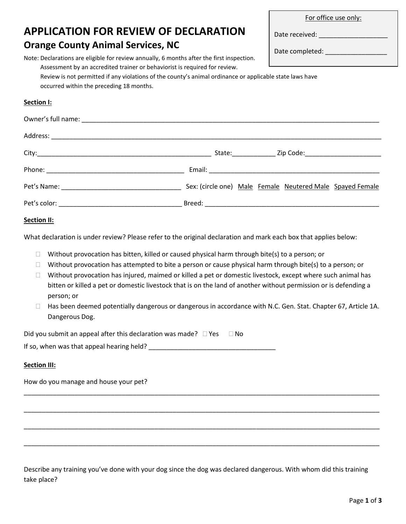| <b>APPLICATION FOR REVIEW OF DECLARATION</b>                                                                                                                                                                                         |  | Date received: _______________________ |
|--------------------------------------------------------------------------------------------------------------------------------------------------------------------------------------------------------------------------------------|--|----------------------------------------|
| <b>Orange County Animal Services, NC</b>                                                                                                                                                                                             |  | Date completed: ____________________   |
| Note: Declarations are eligible for review annually, 6 months after the first inspection.<br>Assessment by an accredited trainer or behaviorist is required for review.                                                              |  |                                        |
| Review is not permitted if any violations of the county's animal ordinance or applicable state laws have<br>occurred within the preceding 18 months.                                                                                 |  |                                        |
| Section I:                                                                                                                                                                                                                           |  |                                        |
|                                                                                                                                                                                                                                      |  |                                        |
|                                                                                                                                                                                                                                      |  |                                        |
|                                                                                                                                                                                                                                      |  |                                        |
|                                                                                                                                                                                                                                      |  |                                        |
|                                                                                                                                                                                                                                      |  |                                        |
|                                                                                                                                                                                                                                      |  |                                        |
| Section II:                                                                                                                                                                                                                          |  |                                        |
| What declaration is under review? Please refer to the original declaration and mark each box that applies below:                                                                                                                     |  |                                        |
| Without provocation has bitten, killed or caused physical harm through bite(s) to a person; or<br>$\Box$                                                                                                                             |  |                                        |
| Without provocation has attempted to bite a person or cause physical harm through bite(s) to a person; or<br>$\Box$                                                                                                                  |  |                                        |
| Without provocation has injured, maimed or killed a pet or domestic livestock, except where such animal has<br>П<br>bitten or killed a pet or domestic livestock that is on the land of another without permission or is defending a |  |                                        |
| person; or                                                                                                                                                                                                                           |  |                                        |
| Has been deemed potentially dangerous or dangerous in accordance with N.C. Gen. Stat. Chapter 67, Article 1A.<br>$\Box$<br>Dangerous Dog.                                                                                            |  |                                        |
| Did you submit an appeal after this declaration was made? $\Box$ Yes $\Box$ No                                                                                                                                                       |  |                                        |
|                                                                                                                                                                                                                                      |  |                                        |
| <b>Section III:</b>                                                                                                                                                                                                                  |  |                                        |
| How do you manage and house your pet?                                                                                                                                                                                                |  |                                        |
|                                                                                                                                                                                                                                      |  |                                        |
|                                                                                                                                                                                                                                      |  |                                        |
|                                                                                                                                                                                                                                      |  |                                        |
|                                                                                                                                                                                                                                      |  |                                        |

Describe any training you've done with your dog since the dog was declared dangerous. With whom did this training take place?

For office use only: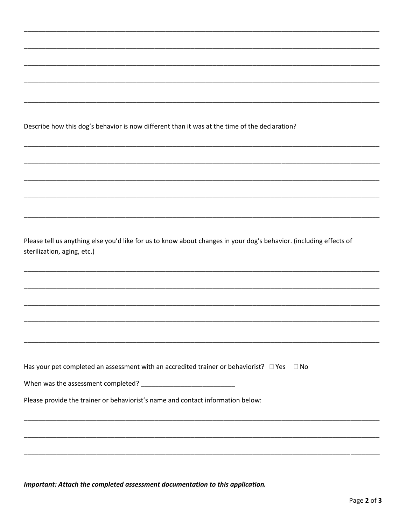Describe how this dog's behavior is now different than it was at the time of the declaration?

Please tell us anything else you'd like for us to know about changes in your dog's behavior. (including effects of sterilization, aging, etc.)

| Has your pet completed an assessment with an accredited trainer or behaviorist? $\square$ Yes $\square$ No |  |
|------------------------------------------------------------------------------------------------------------|--|
|------------------------------------------------------------------------------------------------------------|--|

When was the assessment completed? \_\_\_\_\_\_\_\_\_\_\_\_

Please provide the trainer or behaviorist's name and contact information below:

Important: Attach the completed assessment documentation to this application.